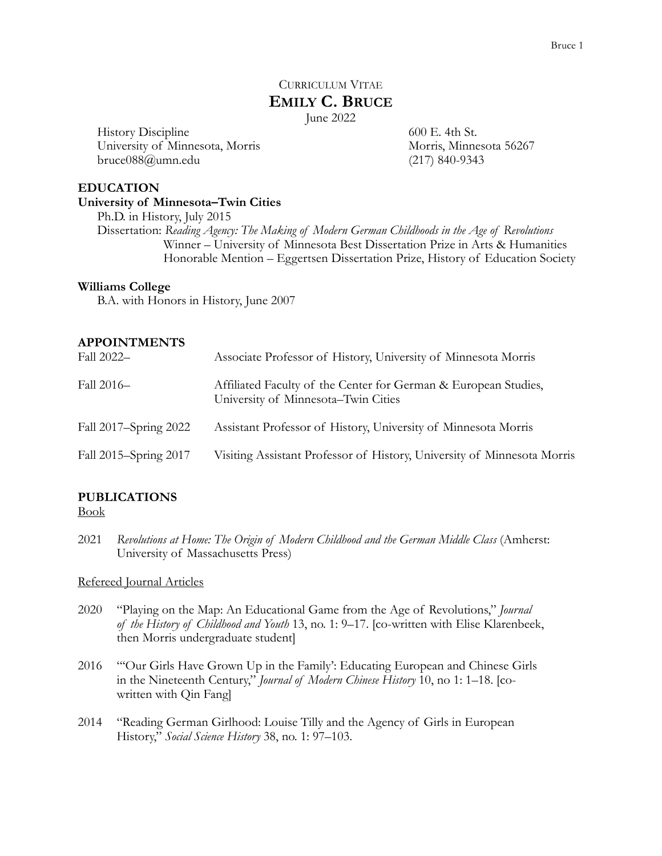# CURRICULUM VITAE **EMILY C. BRUCE**

June 2022

History Discipline University of Minnesota, Morris bruce088@umn.edu

600 E. 4th St. Morris, Minnesota 56267 (217) 840-9343

### **EDUCATION**

### **University of Minnesota–Twin Cities**

Ph.D. in History, July 2015 Dissertation: *Reading Agency: The Making of Modern German Childhoods in the Age of Revolutions* Winner – University of Minnesota Best Dissertation Prize in Arts & Humanities Honorable Mention – Eggertsen Dissertation Prize, History of Education Society

### **Williams College**

B.A. with Honors in History, June 2007

### **APPOINTMENTS**

| Fall 2022-            | Associate Professor of History, University of Minnesota Morris                                         |
|-----------------------|--------------------------------------------------------------------------------------------------------|
| Fall 2016-            | Affiliated Faculty of the Center for German & European Studies,<br>University of Minnesota–Twin Cities |
| Fall 2017-Spring 2022 | Assistant Professor of History, University of Minnesota Morris                                         |
| Fall 2015–Spring 2017 | Visiting Assistant Professor of History, University of Minnesota Morris                                |

## **PUBLICATIONS**

Book

2021 Revolutions at Home: The Origin of Modern Childhood and the German Middle Class (Amherst: University of Massachusetts Press)

### Refereed Journal Articles

- 2020 "Playing on the Map: An Educational Game from the Age of Revolutions," *Journal of the History of Childhood and Youth* 13, no. 1: 9–17. [co-written with Elise Klarenbeek, then Morris undergraduate student]
- 2016 "'Our Girls Have Grown Up in the Family': Educating European and Chinese Girls in the Nineteenth Century," *Journal of Modern Chinese History* 10, no 1: 1–18. [cowritten with Qin Fang]
- 2014 "Reading German Girlhood: Louise Tilly and the Agency of Girls in European History," *Social Science History* 38, no. 1: 97–103.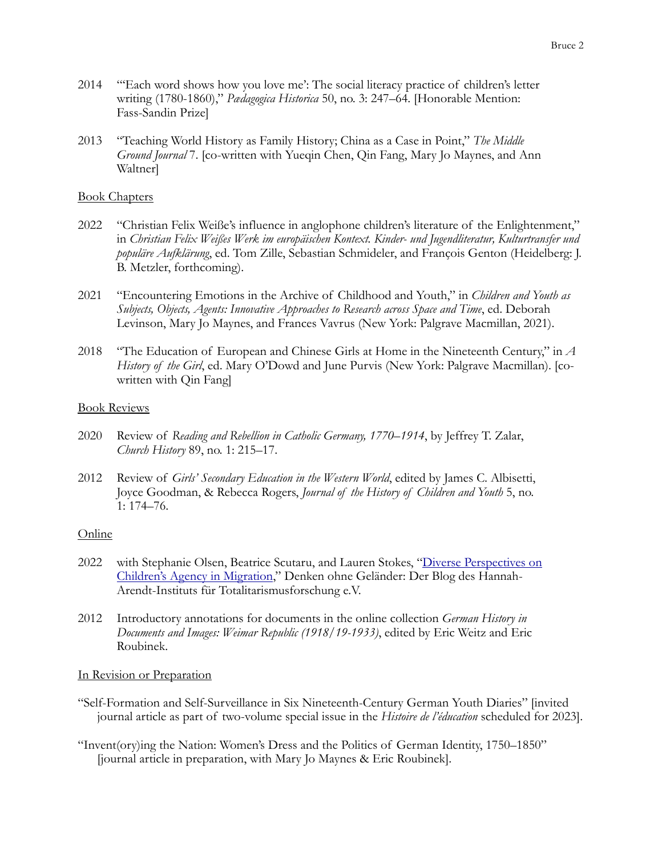- 2014 "'Each word shows how you love me': The social literacy practice of children's letter writing (1780-1860)," *Pædagogica Historica* 50, no. 3: 247–64. [Honorable Mention: Fass-Sandin Prize]
- 2013 "Teaching World History as Family History; China as a Case in Point," *The Middle Ground Journal* 7. [co-written with Yueqin Chen, Qin Fang, Mary Jo Maynes, and Ann Waltner]

### Book Chapters

- 2022 "Christian Felix Weiße's influence in anglophone children's literature of the Enlightenment," in *Christian Felix Weißes Werk im europäischen Kontext. Kinder- und Jugendliteratur, Kulturtransfer und populäre Aufklärung*, ed. Tom Zille, Sebastian Schmideler, and François Genton (Heidelberg: J. B. Metzler, forthcoming).
- 2021 "Encountering Emotions in the Archive of Childhood and Youth," in *Children and Youth as Subjects, Objects, Agents: Innovative Approaches to Research across Space and Time*, ed. Deborah Levinson, Mary Jo Maynes, and Frances Vavrus (New York: Palgrave Macmillan, 2021).
- 2018 "The Education of European and Chinese Girls at Home in the Nineteenth Century," in *A History of the Girl*, ed. Mary O'Dowd and June Purvis (New York: Palgrave Macmillan). [cowritten with Qin Fang]

### Book Reviews

- 2020 Review of *Reading and Rebellion in Catholic Germany, 1770–1914*, by Jeffrey T. Zalar, *Church History* 89, no. 1: 215–17.
- 2012 Review of *Girls' Secondary Education in the Western World*, edited by James C. Albisetti, Joyce Goodman, & Rebecca Rogers, *Journal of the History of Children and Youth* 5, no. 1: 174–76.

### Online

- 2022 with Stephanie Olsen, Beatrice Scutaru, and Lauren Stokes, "[Diverse Perspectives on](https://haitblog.hypotheses.org/2267)  [Children's Agency in Migration,](https://haitblog.hypotheses.org/2267)" Denken ohne Geländer: Der Blog des Hannah-Arendt-Instituts für Totalitarismusforschung e.V.
- 2012 Introductory annotations for documents in the online collection *German History in Documents and Images: Weimar Republic (1918/19-1933)*, edited by Eric Weitz and Eric Roubinek.

## In Revision or Preparation

- "Self-Formation and Self-Surveillance in Six Nineteenth-Century German Youth Diaries" [invited journal article as part of two-volume special issue in the *Histoire de l'éducation* scheduled for 2023].
- "Invent(ory)ing the Nation: Women's Dress and the Politics of German Identity, 1750–1850" [journal article in preparation, with Mary Jo Maynes & Eric Roubinek].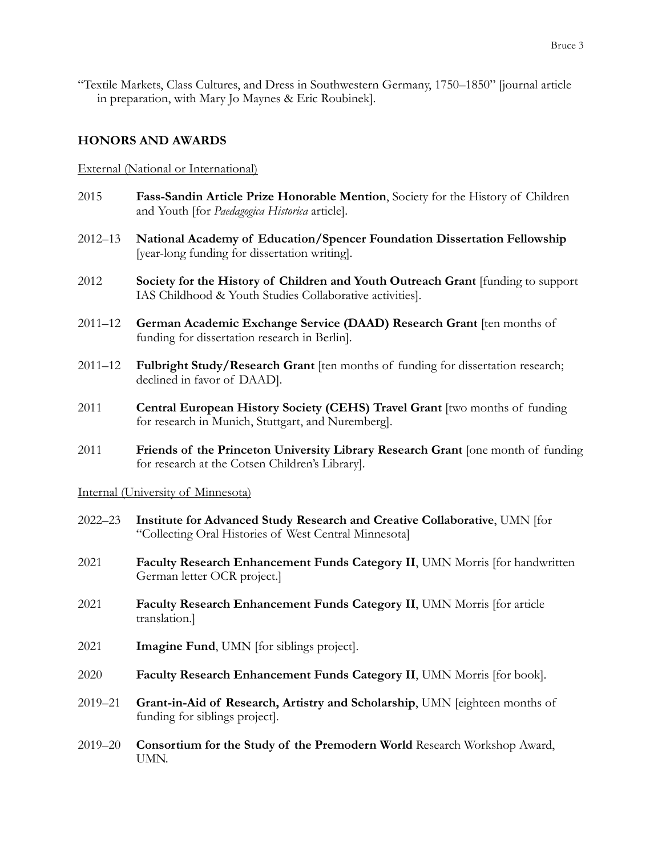"Textile Markets, Class Cultures, and Dress in Southwestern Germany, 1750–1850" [journal article in preparation, with Mary Jo Maynes & Eric Roubinek].

## **HONORS AND AWARDS**

### External (National or International)

- 2015 **Fass-Sandin Article Prize Honorable Mention**, Society for the History of Children and Youth [for *Paedagogica Historica* article].
- 2012–13 **National Academy of Education/Spencer Foundation Dissertation Fellowship**  [year-long funding for dissertation writing].
- 2012 **Society for the History of Children and Youth Outreach Grant** [funding to support IAS Childhood & Youth Studies Collaborative activities].
- 2011–12 **German Academic Exchange Service (DAAD) Research Grant** [ten months of funding for dissertation research in Berlin].
- 2011–12 **Fulbright Study/Research Grant** [ten months of funding for dissertation research; declined in favor of DAAD].
- 2011 **Central European History Society (CEHS) Travel Grant** [two months of funding for research in Munich, Stuttgart, and Nuremberg].
- 2011 **Friends of the Princeton University Library Research Grant** [one month of funding for research at the Cotsen Children's Library].

### Internal (University of Minnesota)

- 2022–23 **Institute for Advanced Study Research and Creative Collaborative**, UMN [for "Collecting Oral Histories of West Central Minnesota]
- 2021 **Faculty Research Enhancement Funds Category II**, UMN Morris [for handwritten German letter OCR project.]
- 2021 **Faculty Research Enhancement Funds Category II**, UMN Morris [for article translation.]
- 2021 **Imagine Fund**, UMN [for siblings project].
- 2020 **Faculty Research Enhancement Funds Category II**, UMN Morris [for book].
- 2019–21 **Grant-in-Aid of Research, Artistry and Scholarship**, UMN [eighteen months of funding for siblings project].
- 2019–20 **Consortium for the Study of the Premodern World** Research Workshop Award, UMN.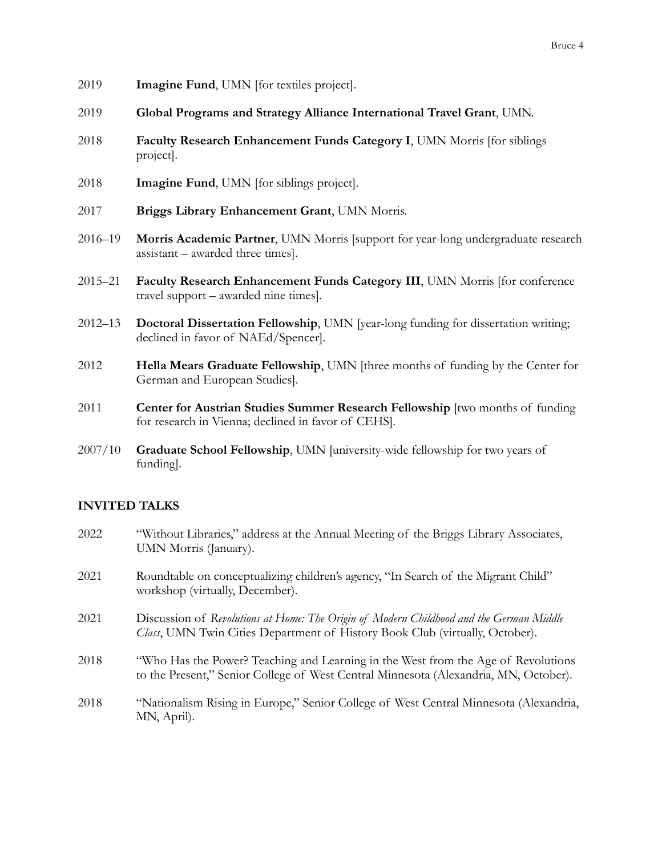- 2019 **Imagine Fund**, UMN [for textiles project].
- 2019 **Global Programs and Strategy Alliance International Travel Grant**, UMN.
- 2018 **Faculty Research Enhancement Funds Category I**, UMN Morris [for siblings project].
- 2018 **Imagine Fund**, UMN [for siblings project].
- 2017 **Briggs Library Enhancement Grant**, UMN Morris.
- 2016–19 **Morris Academic Partner**, UMN Morris [support for year-long undergraduate research assistant – awarded three times].
- 2015–21 **Faculty Research Enhancement Funds Category III**, UMN Morris [for conference travel support – awarded nine times].
- 2012–13 **Doctoral Dissertation Fellowship**, UMN [year-long funding for dissertation writing; declined in favor of NAEd/Spencer].
- 2012 **Hella Mears Graduate Fellowship**, UMN [three months of funding by the Center for German and European Studies].
- 2011 **Center for Austrian Studies Summer Research Fellowship** [two months of funding for research in Vienna; declined in favor of CEHS].
- 2007/10 **Graduate School Fellowship**, UMN [university-wide fellowship for two years of funding].

## **INVITED TALKS**

2022 "Without Libraries," address at the Annual Meeting of the Briggs Library Associates, UMN Morris (January). 2021 Roundtable on conceptualizing children's agency, "In Search of the Migrant Child" workshop (virtually, December). 2021 Discussion of *Revolutions at Home: The Origin of Modern Childhood and the German Middle Class*, UMN Twin Cities Department of History Book Club (virtually, October). 2018 "Who Has the Power? Teaching and Learning in the West from the Age of Revolutions to the Present," Senior College of West Central Minnesota (Alexandria, MN, October). 2018 "Nationalism Rising in Europe," Senior College of West Central Minnesota (Alexandria, MN, April).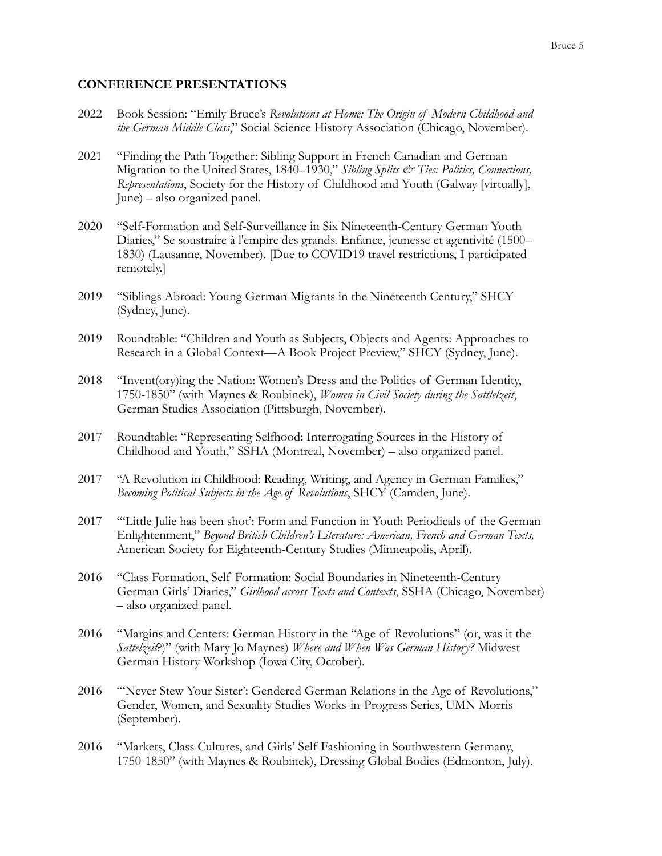### **CONFERENCE PRESENTATIONS**

- 2022 Book Session: "Emily Bruce's *Revolutions at Home: The Origin of Modern Childhood and the German Middle Class*," Social Science History Association (Chicago, November).
- 2021 "Finding the Path Together: Sibling Support in French Canadian and German Migration to the United States, 1840–1930," *Sibling Splits & Ties: Politics, Connections, Representations*, Society for the History of Childhood and Youth (Galway [virtually], June) – also organized panel.
- 2020 "Self-Formation and Self-Surveillance in Six Nineteenth-Century German Youth Diaries," Se soustraire à l'empire des grands. Enfance, jeunesse et agentivité (1500– 1830) (Lausanne, November). [Due to COVID19 travel restrictions, I participated remotely.]
- 2019 "Siblings Abroad: Young German Migrants in the Nineteenth Century," SHCY (Sydney, June).
- 2019 Roundtable: "Children and Youth as Subjects, Objects and Agents: Approaches to Research in a Global Context—A Book Project Preview," SHCY (Sydney, June).
- 2018 "Invent(ory)ing the Nation: Women's Dress and the Politics of German Identity, 1750-1850" (with Maynes & Roubinek), *Women in Civil Society during the Sattlelzeit*, German Studies Association (Pittsburgh, November).
- 2017 Roundtable: "Representing Selfhood: Interrogating Sources in the History of Childhood and Youth," SSHA (Montreal, November) – also organized panel.
- 2017 "A Revolution in Childhood: Reading, Writing, and Agency in German Families," *Becoming Political Subjects in the Age of Revolutions*, SHCY (Camden, June).
- 2017 "'Little Julie has been shot': Form and Function in Youth Periodicals of the German Enlightenment," *Beyond British Children's Literature: American, French and German Texts,*  American Society for Eighteenth-Century Studies (Minneapolis, April).
- 2016 "Class Formation, Self Formation: Social Boundaries in Nineteenth-Century German Girls' Diaries," *Girlhood across Texts and Contexts*, SSHA (Chicago, November) – also organized panel.
- 2016 "Margins and Centers: German History in the "Age of Revolutions" (or, was it the *Sattelzeit*?)" (with Mary Jo Maynes) *Where and When Was German History?* Midwest German History Workshop (Iowa City, October).
- 2016 "'Never Stew Your Sister': Gendered German Relations in the Age of Revolutions," Gender, Women, and Sexuality Studies Works-in-Progress Series, UMN Morris (September).
- 2016 "Markets, Class Cultures, and Girls' Self-Fashioning in Southwestern Germany, 1750-1850" (with Maynes & Roubinek), Dressing Global Bodies (Edmonton, July).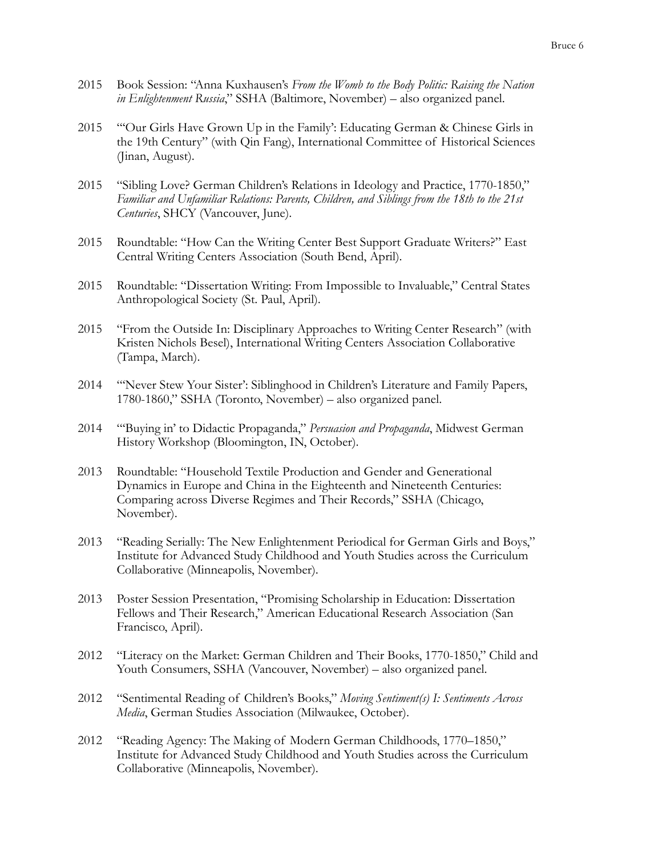- 2015 Book Session: "Anna Kuxhausen's *From the Womb to the Body Politic: Raising the Nation in Enlightenment Russia*," SSHA (Baltimore, November) – also organized panel.
- 2015 "'Our Girls Have Grown Up in the Family': Educating German & Chinese Girls in the 19th Century" (with Qin Fang), International Committee of Historical Sciences (Jinan, August).
- 2015 "Sibling Love? German Children's Relations in Ideology and Practice, 1770-1850," *Familiar and Unfamiliar Relations: Parents, Children, and Siblings from the 18th to the 21st Centuries*, SHCY (Vancouver, June).
- 2015 Roundtable: "How Can the Writing Center Best Support Graduate Writers?" East Central Writing Centers Association (South Bend, April).
- 2015 Roundtable: "Dissertation Writing: From Impossible to Invaluable," Central States Anthropological Society (St. Paul, April).
- 2015 "From the Outside In: Disciplinary Approaches to Writing Center Research" (with Kristen Nichols Besel), International Writing Centers Association Collaborative (Tampa, March).
- 2014 "'Never Stew Your Sister': Siblinghood in Children's Literature and Family Papers, 1780-1860," SSHA (Toronto, November) – also organized panel.
- 2014 "'Buying in' to Didactic Propaganda," *Persuasion and Propaganda*, Midwest German History Workshop (Bloomington, IN, October).
- 2013 Roundtable: "Household Textile Production and Gender and Generational Dynamics in Europe and China in the Eighteenth and Nineteenth Centuries: Comparing across Diverse Regimes and Their Records," SSHA (Chicago, November).
- 2013 "Reading Serially: The New Enlightenment Periodical for German Girls and Boys," Institute for Advanced Study Childhood and Youth Studies across the Curriculum Collaborative (Minneapolis, November).
- 2013 Poster Session Presentation, "Promising Scholarship in Education: Dissertation Fellows and Their Research," American Educational Research Association (San Francisco, April).
- 2012 "Literacy on the Market: German Children and Their Books, 1770-1850," Child and Youth Consumers, SSHA (Vancouver, November) – also organized panel.
- 2012 "Sentimental Reading of Children's Books," *Moving Sentiment(s) I: Sentiments Across Media*, German Studies Association (Milwaukee, October).
- 2012 "Reading Agency: The Making of Modern German Childhoods, 1770–1850," Institute for Advanced Study Childhood and Youth Studies across the Curriculum Collaborative (Minneapolis, November).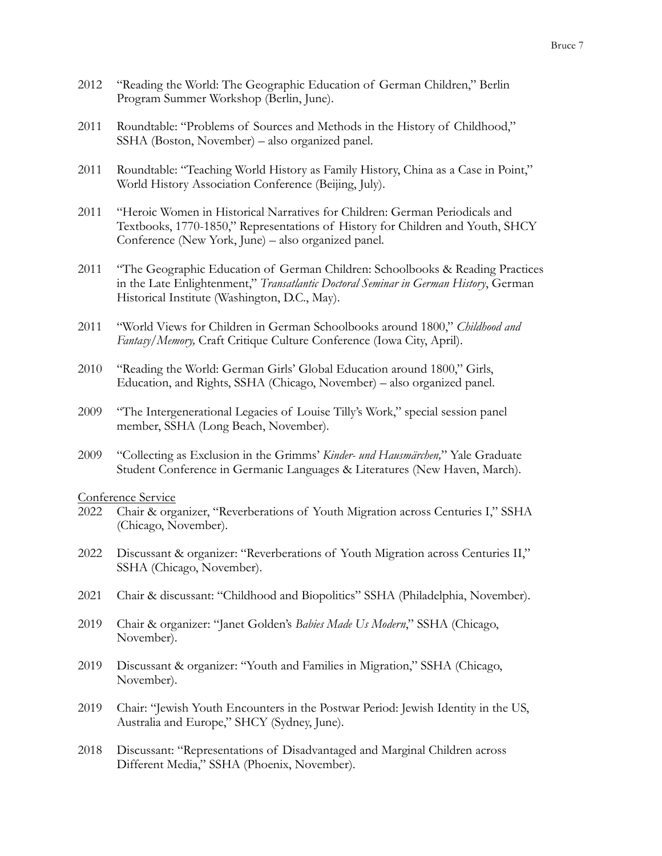- 2012 "Reading the World: The Geographic Education of German Children," Berlin Program Summer Workshop (Berlin, June).
- 2011 Roundtable: "Problems of Sources and Methods in the History of Childhood," SSHA (Boston, November) – also organized panel.
- 2011 Roundtable: "Teaching World History as Family History, China as a Case in Point," World History Association Conference (Beijing, July).
- 2011 "Heroic Women in Historical Narratives for Children: German Periodicals and Textbooks, 1770-1850," Representations of History for Children and Youth, SHCY Conference (New York, June) – also organized panel.
- 2011 "The Geographic Education of German Children: Schoolbooks & Reading Practices in the Late Enlightenment," *Transatlantic Doctoral Seminar in German History*, German Historical Institute (Washington, D.C., May).
- 2011 "World Views for Children in German Schoolbooks around 1800," *Childhood and Fantasy/Memory,* Craft Critique Culture Conference (Iowa City, April).
- 2010 "Reading the World: German Girls' Global Education around 1800," Girls, Education, and Rights, SSHA (Chicago, November) – also organized panel.
- 2009 "The Intergenerational Legacies of Louise Tilly's Work," special session panel member, SSHA (Long Beach, November).
- 2009 "Collecting as Exclusion in the Grimms' *Kinder- und Hausmärchen,*" Yale Graduate Student Conference in Germanic Languages & Literatures (New Haven, March).

Conference Service

- 2022 Chair & organizer, "Reverberations of Youth Migration across Centuries I," SSHA (Chicago, November).
- 2022 Discussant & organizer: "Reverberations of Youth Migration across Centuries II," SSHA (Chicago, November).
- 2021 Chair & discussant: "Childhood and Biopolitics" SSHA (Philadelphia, November).
- 2019 Chair & organizer: "Janet Golden's *Babies Made Us Modern*," SSHA (Chicago, November).
- 2019 Discussant & organizer: "Youth and Families in Migration," SSHA (Chicago, November).
- 2019 Chair: "Jewish Youth Encounters in the Postwar Period: Jewish Identity in the US, Australia and Europe," SHCY (Sydney, June).
- 2018 Discussant: "Representations of Disadvantaged and Marginal Children across Different Media," SSHA (Phoenix, November).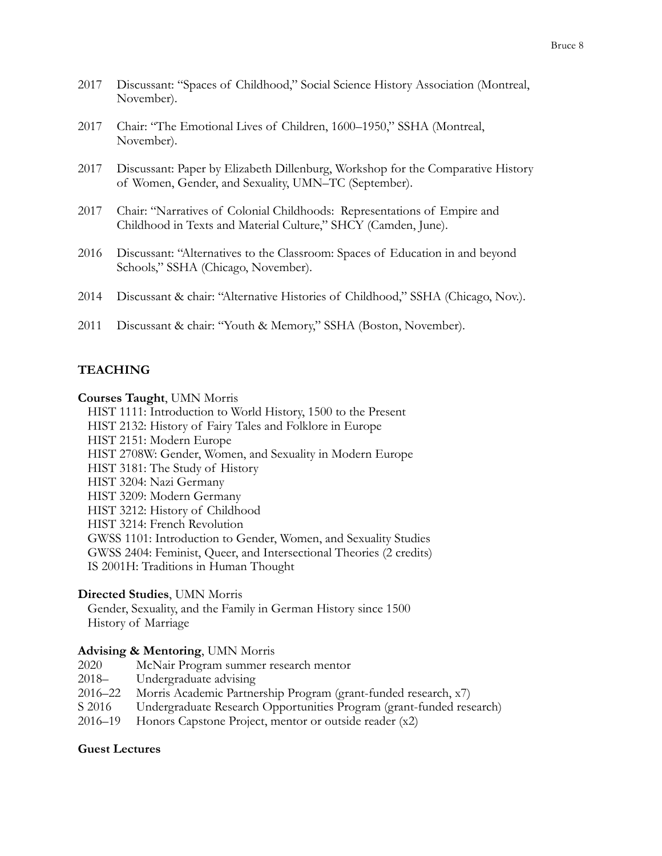- 2017 Discussant: "Spaces of Childhood," Social Science History Association (Montreal, November).
- 2017 Chair: "The Emotional Lives of Children, 1600–1950," SSHA (Montreal, November).
- 2017 Discussant: Paper by Elizabeth Dillenburg, Workshop for the Comparative History of Women, Gender, and Sexuality, UMN–TC (September).
- 2017 Chair: "Narratives of Colonial Childhoods: Representations of Empire and Childhood in Texts and Material Culture," SHCY (Camden, June).
- 2016 Discussant: "Alternatives to the Classroom: Spaces of Education in and beyond Schools," SSHA (Chicago, November).
- 2014 Discussant & chair: "Alternative Histories of Childhood," SSHA (Chicago, Nov.).
- 2011 Discussant & chair: "Youth & Memory," SSHA (Boston, November).

## **TEACHING**

#### **Courses Taught**, UMN Morris

HIST 1111: Introduction to World History, 1500 to the Present HIST 2132: History of Fairy Tales and Folklore in Europe HIST 2151: Modern Europe HIST 2708W: Gender, Women, and Sexuality in Modern Europe HIST 3181: The Study of History HIST 3204: Nazi Germany HIST 3209: Modern Germany HIST 3212: History of Childhood HIST 3214: French Revolution GWSS 1101: Introduction to Gender, Women, and Sexuality Studies GWSS 2404: Feminist, Queer, and Intersectional Theories (2 credits) IS 2001H: Traditions in Human Thought

### **Directed Studies**, UMN Morris

Gender, Sexuality, and the Family in German History since 1500 History of Marriage

### **Advising & Mentoring**, UMN Morris

2020 McNair Program summer research mentor 2018– Undergraduate advising 2016–22 Morris Academic Partnership Program (grant-funded research, x7) S 2016 Undergraduate Research Opportunities Program (grant-funded research) 2016–19 Honors Capstone Project, mentor or outside reader (x2)

### **Guest Lectures**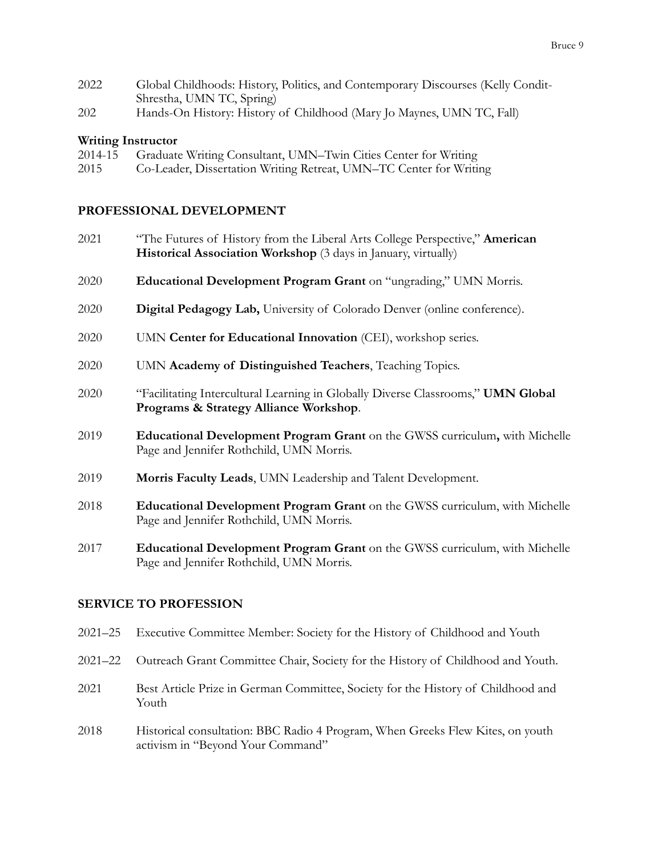- 2022 Global Childhoods: History, Politics, and Contemporary Discourses (Kelly Condit-Shrestha, UMN TC, Spring)
- 202 Hands-On History: History of Childhood (Mary Jo Maynes, UMN TC, Fall)

## **Writing Instructor**

| 2014-15 | Graduate Writing Consultant, UMN-Twin Cities Center for Writing    |
|---------|--------------------------------------------------------------------|
| 2015    | Co-Leader, Dissertation Writing Retreat, UMN-TC Center for Writing |

## **PROFESSIONAL DEVELOPMENT**

- 2021 "The Futures of History from the Liberal Arts College Perspective," **American Historical Association Workshop** (3 days in January, virtually)
- 2020 **Educational Development Program Grant** on "ungrading," UMN Morris.
- 2020 **Digital Pedagogy Lab,** University of Colorado Denver (online conference).
- 2020 UMN **Center for Educational Innovation** (CEI), workshop series.
- 2020 UMN **Academy of Distinguished Teachers**, Teaching Topics.
- 2020 "Facilitating Intercultural Learning in Globally Diverse Classrooms," **UMN Global Programs & Strategy Alliance Workshop**.
- 2019 **Educational Development Program Grant** on the GWSS curriculum**,** with Michelle Page and Jennifer Rothchild, UMN Morris.
- 2019 **Morris Faculty Leads**, UMN Leadership and Talent Development.
- 2018 **Educational Development Program Grant** on the GWSS curriculum, with Michelle Page and Jennifer Rothchild, UMN Morris.
- 2017 **Educational Development Program Grant** on the GWSS curriculum, with Michelle Page and Jennifer Rothchild, UMN Morris.

## **SERVICE TO PROFESSION**

- 2021–25 Executive Committee Member: Society for the History of Childhood and Youth
- 2021–22 Outreach Grant Committee Chair, Society for the History of Childhood and Youth.
- 2021 Best Article Prize in German Committee, Society for the History of Childhood and Youth
- 2018 Historical consultation: BBC Radio 4 Program, When Greeks Flew Kites, on youth activism in "Beyond Your Command"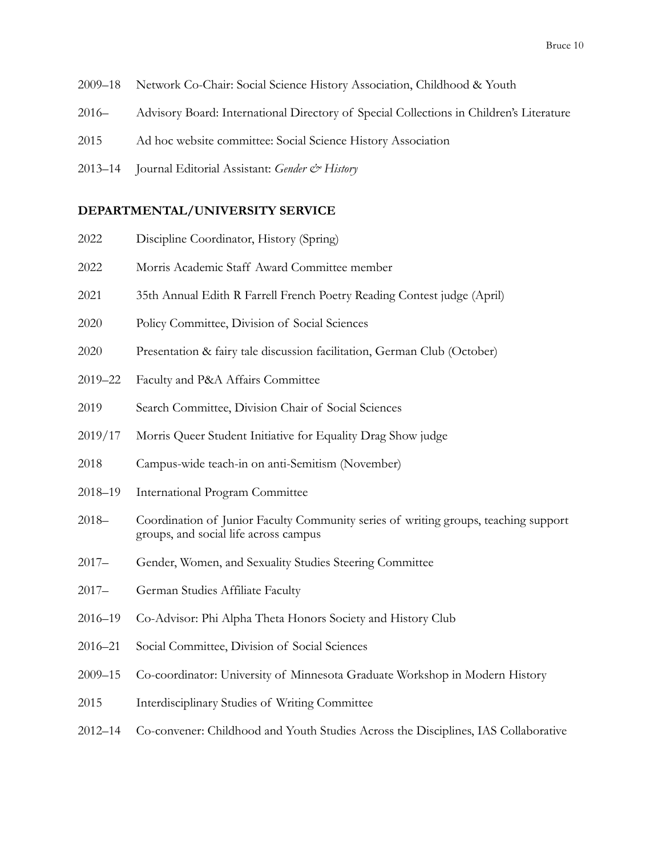- 2009–18 Network Co-Chair: Social Science History Association, Childhood & Youth
- 2016– Advisory Board: International Directory of Special Collections in Children's Literature
- 2015 Ad hoc website committee: Social Science History Association
- 2013–14 Journal Editorial Assistant: *Gender & History*

### **DEPARTMENTAL/UNIVERSITY SERVICE**

| 2022     | Discipline Coordinator, History (Spring)                                                                                     |
|----------|------------------------------------------------------------------------------------------------------------------------------|
| 2022     | Morris Academic Staff Award Committee member                                                                                 |
| 2021     | 35th Annual Edith R Farrell French Poetry Reading Contest judge (April)                                                      |
| 2020     | Policy Committee, Division of Social Sciences                                                                                |
| 2020     | Presentation & fairy tale discussion facilitation, German Club (October)                                                     |
| 2019-22  | Faculty and P&A Affairs Committee                                                                                            |
| 2019     | Search Committee, Division Chair of Social Sciences                                                                          |
| 2019/17  | Morris Queer Student Initiative for Equality Drag Show judge                                                                 |
| 2018     | Campus-wide teach-in on anti-Semitism (November)                                                                             |
| 2018–19  | International Program Committee                                                                                              |
| $2018-$  | Coordination of Junior Faculty Community series of writing groups, teaching support<br>groups, and social life across campus |
| $2017 -$ | Gender, Women, and Sexuality Studies Steering Committee                                                                      |
| 2017–    | German Studies Affiliate Faculty                                                                                             |

- 2016–19 Co-Advisor: Phi Alpha Theta Honors Society and History Club
- 2016–21 Social Committee, Division of Social Sciences
- 2009–15 Co-coordinator: University of Minnesota Graduate Workshop in Modern History
- 2015 Interdisciplinary Studies of Writing Committee
- 2012–14 Co-convener: Childhood and Youth Studies Across the Disciplines, IAS Collaborative